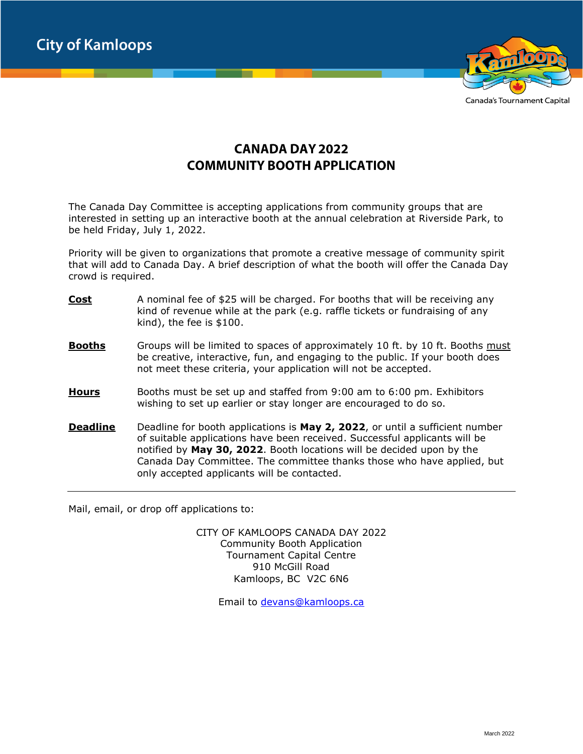**City of Kamloops** 



Canada's Tournament Capital

## **CANADA DAY 2022 COMMUNITY BOOTH APPLICATION**

The Canada Day Committee is accepting applications from community groups that are interested in setting up an interactive booth at the annual celebration at Riverside Park, to be held Friday, July 1, 2022.

Priority will be given to organizations that promote a creative message of community spirit that will add to Canada Day. A brief description of what the booth will offer the Canada Day crowd is required.

- **Cost** A nominal fee of \$25 will be charged. For booths that will be receiving any kind of revenue while at the park (e.g. raffle tickets or fundraising of any kind), the fee is \$100.
- **Booths** Groups will be limited to spaces of approximately 10 ft. by 10 ft. Booths must be creative, interactive, fun, and engaging to the public. If your booth does not meet these criteria, your application will not be accepted.
- **Hours** Booths must be set up and staffed from 9:00 am to 6:00 pm. Exhibitors wishing to set up earlier or stay longer are encouraged to do so.
- **Deadline** Deadline for booth applications is **May 2, 2022**, or until a sufficient number of suitable applications have been received. Successful applicants will be notified by **May 30, 2022**. Booth locations will be decided upon by the Canada Day Committee. The committee thanks those who have applied, but only accepted applicants will be contacted.

Mail, email, or drop off applications to:

CITY OF KAMLOOPS CANADA DAY 2022 Community Booth Application Tournament Capital Centre 910 McGill Road Kamloops, BC V2C 6N6

Email to [devans@kamloops.ca](mailto:devans@kamloops.ca)